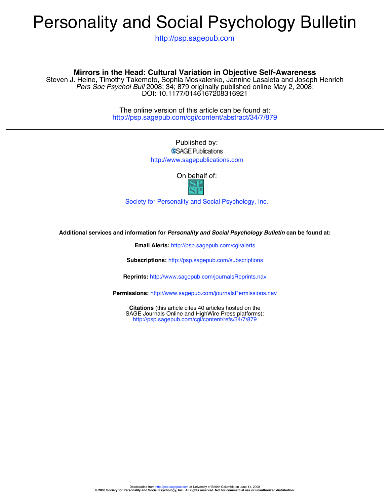# Personality and Social Psychology Bulletin

http://psp.sagepub.com

### **Mirrors in the Head: Cultural Variation in Objective Self-Awareness**

DOI: 10.1177/0146167208316921 *Pers Soc Psychol Bull* 2008; 34; 879 originally published online May 2, 2008; Steven J. Heine, Timothy Takemoto, Sophia Moskalenko, Jannine Lasaleta and Joseph Henrich

> http://psp.sagepub.com/cgi/content/abstract/34/7/879 The online version of this article can be found at:

> > Published by: SSAGE Publications

http://www.sagepublications.com

On behalf of:



[Society for Personality and Social Psychology, Inc.](http://www.spsp.org/)

**Additional services and information for** *Personality and Social Psychology Bulletin* **can be found at:**

**Email Alerts:** <http://psp.sagepub.com/cgi/alerts>

**Subscriptions:** <http://psp.sagepub.com/subscriptions>

**Reprints:** <http://www.sagepub.com/journalsReprints.nav>

**Permissions:** <http://www.sagepub.com/journalsPermissions.nav>

<http://psp.sagepub.com/cgi/content/refs/34/7/879> SAGE Journals Online and HighWire Press platforms): **Citations** (this article cites 40 articles hosted on the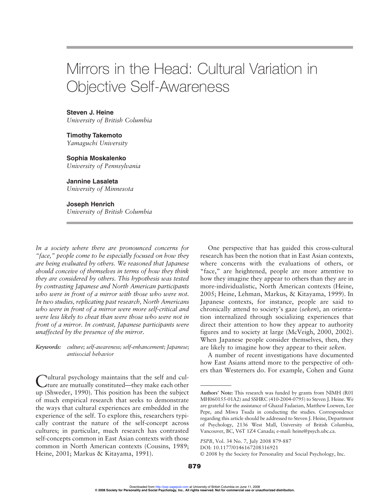## Mirrors in the Head: Cultural Variation in Objective Self-Awareness

**Steven J. Heine** *University of British Columbia*

**Timothy Takemoto** *Yamaguchi University*

**Sophia Moskalenko**

*University of Pennsylvania*

**Jannine Lasaleta**

*University of Minnesota*

**Joseph Henrich**

*University of British Columbia*

*In a society where there are pronounced concerns for "face," people come to be especially focused on how they are being evaluated by others. We reasoned that Japanese should conceive of themselves in terms of how they think they are considered by others. This hypothesis was tested by contrasting Japanese and North American participants who were in front of a mirror with those who were not. In two studies, replicating past research, North Americans who were in front of a mirror were more self-critical and were less likely to cheat than were those who were not in front of a mirror. In contrast, Japanese participants were unaffected by the presence of the mirror.*

*Keywords: culture; self-awareness; self-enhancement; Japanese; antisocial behavior*

Cultural psychology maintains that the self and cul-ture are mutually constituted—they make each other up (Shweder, 1990). This position has been the subject of much empirical research that seeks to demonstrate the ways that cultural experiences are embedded in the experience of the self. To explore this, researchers typically contrast the nature of the self-concept across cultures; in particular, much research has contrasted self-concepts common in East Asian contexts with those common in North American contexts (Cousins, 1989; Heine, 2001; Markus & Kitayama, 1991).

One perspective that has guided this cross-cultural research has been the notion that in East Asian contexts, where concerns with the evaluations of others, or "face," are heightened, people are more attentive to how they imagine they appear to others than they are in more-individualistic, North American contexts (Heine, 2005; Heine, Lehman, Markus, & Kitayama, 1999). In Japanese contexts, for instance, people are said to chronically attend to society's gaze (*seken*), an orientation internalized through socializing experiences that direct their attention to how they appear to authority figures and to society at large (McVeigh, 2000, 2002). When Japanese people consider themselves, then, they are likely to imagine how they appear to their *seken*.

A number of recent investigations have documented how East Asians attend more to the perspective of others than Westerners do. For example, Cohen and Gunz

*PSPB*, Vol. 34 No. 7, July 2008 879-887

**Authors' Note:** This research was funded by grants from NIMH (R01 MH060155-01A2) and SSHRC (410-2004-0795) to Steven J. Heine. We are grateful for the assistance of Ghazal Fadaeian, Matthew Loewen, Lee Pepe, and Miwa Tsuda in conducting the studies. Correspondence regarding this article should be addressed to Steven J. Heine, Department of Psychology, 2136 West Mall, University of British Columbia, Vancouver, BC, V6T 1Z4 Canada; e-mail: heine@psych.ubc.ca.

DOI: 10.1177/0146167208316921

<sup>© 2008</sup> by the Society for Personality and Social Psychology, Inc.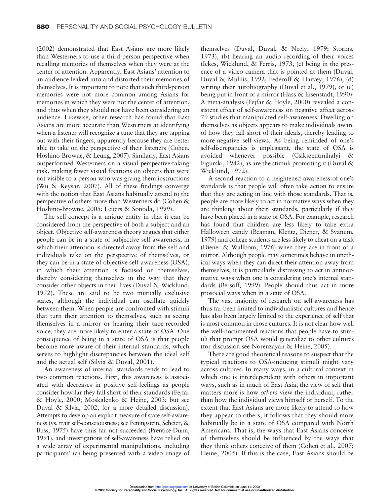(2002) demonstrated that East Asians are more likely than Westerners to use a third-person perspective when recalling memories of themselves when they were at the center of attention. Apparently, East Asians' attention to an audience leaked into and distorted their memories of themselves. It is important to note that such third-person memories were not more common among Asians for memories in which they were not the center of attention, and thus when they should not have been considering an audience. Likewise, other research has found that East Asians are more accurate than Westerners at identifying when a listener will recognize a tune that they are tapping out with their fingers, apparently because they are better able to take on the perspective of their listeners (Cohen, Hoshino-Browne, & Leung, 2007). Similarly, East Asians outperformed Westerners on a visual perspective-taking task, making fewer visual fixations on objects that were not visible to a person who was giving them instructions (Wu & Keysar, 2007). All of these findings converge with the notion that East Asians habitually attend to the perspective of others more than Westerners do (Cohen & Hoshino-Browne, 2005; Leuers & Sonoda, 1999).

The self-concept is a unique entity in that it can be considered from the perspective of both a subject and an object. Objective self-awareness theory argues that either people can be in a state of subjective self-awareness, in which their attention is directed away from the self and individuals take on the perspective of themselves, or they can be in a state of objective self-awareness (OSA), in which their attention is focused on themselves, thereby considering themselves in the way that they consider other objects in their lives (Duval & Wicklund, 1972). These are said to be two mutually exclusive states, although the individual can oscillate quickly between them. When people are confronted with stimuli that turn their attention to themselves, such as seeing themselves in a mirror or hearing their tape-recorded voice, they are more likely to enter a state of OSA. One consequence of being in a state of OSA is that people become more aware of their internal standards, which serves to highlight discrepancies between the ideal self and the actual self (Silvia & Duval, 2001).

An awareness of internal standards tends to lead to two common reactions. First, this awareness is associated with decreases in positive self-feelings as people consider how far they fall short of their standards (Fejfar & Hoyle, 2000; Moskalenko & Heine, 2003; but see Duval & Silvia, 2002, for a more detailed discussion). Attempts to develop an explicit measure of state self-awareness (vs. trait self-consciousness; see Feningstein, Scheier, & Buss, 1975) have thus far not succeeded (Prentice-Dunn, 1991), and investigations of self-awareness have relied on a wide array of experimental manipulations, including participants' (a) being presented with a video image of

themselves (Duval, Duval, & Neely, 1979; Storms, 1973), (b) hearing an audio recording of their voices (Ickes, Wicklund, & Ferris, 1973, (c) being in the presence of a video camera that is pointed at them (Duval, Duval & Mulilis, 1992; Federoff & Harvey, 1976), (d) writing their autobiography (Duval et al., 1979), or (e) being put in front of a mirror (Hass & Eisenstadt, 1990). A meta-analysis (Fejfar & Hoyle, 2000) revealed a consistent effect of self-awareness on negative affect across 79 studies that manipulated self-awareness. Dwelling on themselves as objects appears to make individuals aware of how they fall short of their ideals, thereby leading to more-negative self-views. As being reminded of one's self-discrepancies is unpleasant, the state of OSA is avoided whenever possible (Csikszentmihalyi & Figurski, 1982), as are the stimuli promoting it (Duval & Wicklund, 1972).

A second reaction to a heightened awareness of one's standards is that people will often take action to ensure that they are acting in line with those standards. That is, people are more likely to act in normative ways when they are thinking about their standards, particularly if they have been placed in a state of OSA. For example, research has found that children are less likely to take extra Halloween candy (Beaman, Klentz, Diener, & Svanum, 1979) and college students are less likely to cheat on a task (Diener & Wallbom, 1976) when they are in front of a mirror. Although people may sometimes behave in unethical ways when they can direct their attention away from themselves, it is particularly distressing to act in antinormative ways when one is considering one's internal standards (Bersoff, 1999). People should thus act in more prosocial ways when in a state of OSA.

The vast majority of research on self-awareness has thus far been limited to individualistic cultures and hence has also been largely limited to the experience of self that is most common in those cultures. It is not clear how well the well-documented reactions that people have to stimuli that prompt OSA would generalize to other cultures (for discussion see Norenzayan & Heine, 2005).

There are good theoretical reasons to suspect that the typical reactions to OSA-inducing stimuli might vary across cultures. In many ways, in a cultural context in which one is interdependent with others in important ways, such as in much of East Asia, the view of self that matters more is how *others* view the individual, rather than how the individual views himself or herself. To the extent that East Asians are more likely to attend to how they appear to others, it follows that they should more habitually be in a state of OSA compared with North Americans. That is, the ways that East Asians conceive of themselves should be influenced by the ways that they think others conceive of them (Cohen et al., 2007; Heine, 2005). If this is the case, East Asians should be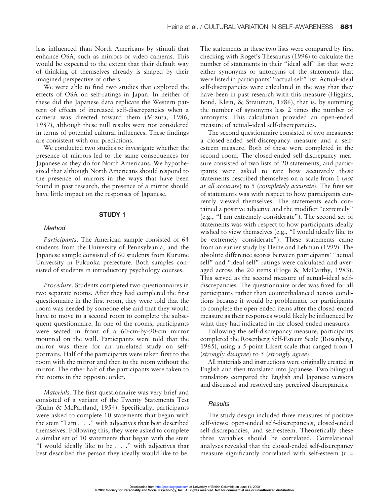less influenced than North Americans by stimuli that enhance OSA, such as mirrors or video cameras. This would be expected to the extent that their default way of thinking of themselves already is shaped by their imagined perspective of others.

We were able to find two studies that explored the effects of OSA on self-ratings in Japan. In neither of these did the Japanese data replicate the Western pattern of effects of increased self-discrepancies when a camera was directed toward them (Mizuta, 1986, 1987), although these null results were not considered in terms of potential cultural influences. These findings are consistent with our predictions.

We conducted two studies to investigate whether the presence of mirrors led to the same consequences for Japanese as they do for North Americans. We hypothesized that although North Americans should respond to the presence of mirrors in the ways that have been found in past research, the presence of a mirror should have little impact on the responses of Japanese.

#### **STUDY 1**

#### Method

*Participants*. The American sample consisted of 64 students from the University of Pennsylvania, and the Japanese sample consisted of 60 students from Kurume University in Fukuoka prefecture. Both samples consisted of students in introductory psychology courses.

*Procedure.* Students completed two questionnaires in two separate rooms. After they had completed the first questionnaire in the first room, they were told that the room was needed by someone else and that they would have to move to a second room to complete the subsequent questionnaire. In one of the rooms, participants were seated in front of a 60-cm-by-90-cm mirror mounted on the wall. Participants were told that the mirror was there for an unrelated study on selfportraits. Half of the participants were taken first to the room with the mirror and then to the room without the mirror. The other half of the participants were taken to the rooms in the opposite order.

*Materials.* The first questionnaire was very brief and consisted of a variant of the Twenty Statements Test (Kuhn & McPartland, 1954). Specifically, participants were asked to complete 10 statements that began with the stem "I am . . ." with adjectives that best described themselves. Following this, they were asked to complete a similar set of 10 statements that began with the stem "I would ideally like to be . . ." with adjectives that best described the person they ideally would like to be. The statements in these two lists were compared by first checking with Roget's Thesaurus (1996) to calculate the number of statements in their "ideal self" list that were either synonyms or antonyms of the statements that were listed in participants' "actual self" list. Actual–ideal self-discrepancies were calculated in the way that they have been in past research with this measure (Higgins, Bond, Klein, & Strauman, 1986), that is, by summing the number of synonyms less 2 times the number of antonyms. This calculation provided an open-ended measure of actual–ideal self-discrepancies.

The second questionnaire consisted of two measures: a closed-ended self-discrepancy measure and a selfesteem measure. Both of these were completed in the second room. The closed-ended self-discrepancy measure consisted of two lists of 20 statements, and participants were asked to rate how accurately these statements described themselves on a scale from 1 (*not at all accurate*) to 5 (*completely accurate*). The first set of statements was with respect to how participants currently viewed themselves. The statements each contained a positive adjective and the modifier "extremely" (e.g., "I am extremely considerate"). The second set of statements was with respect to how participants ideally wished to view themselves (e.g., "I would ideally like to be extremely considerate"). These statements came from an earlier study by Heine and Lehman (1999). The absolute difference scores between participants' "actual self" and "ideal self" ratings were calculated and averaged across the 20 items (Hoge & McCarthy, 1983). This served as the second measure of actual–ideal selfdiscrepancies. The questionnaire order was fixed for all participants rather than counterbalanced across conditions because it would be problematic for participants to complete the open-ended items after the closed-ended measure as their responses would likely be influenced by what they had indicated in the closed-ended measures.

Following the self-discrepancy measure, participants completed the Rosenberg Self-Esteem Scale (Rosenberg, 1965), using a 5-point Likert scale that ranged from 1 (*strongly disagree*) to 5 (*strongly agree*).

All materials and instructions were originally created in English and then translated into Japanese. Two bilingual translators compared the English and Japanese versions and discussed and resolved any perceived discrepancies.

#### Results

The study design included three measures of positive self-views: open-ended self-discrepancies, closed-ended self-discrepancies, and self-esteem. Theoretically these three variables should be correlated. Correlational analyses revealed that the closed-ended self-discrepancy measure significantly correlated with self-esteem (*r* =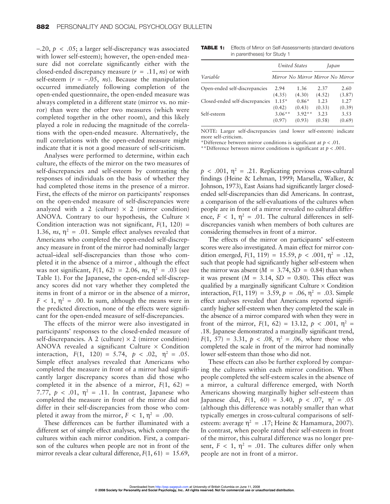−.20, *p* < .05; a larger self-discrepancy was associated with lower self-esteem); however, the open-ended measure did not correlate significantly either with the closed-ended discrepancy measure (*r* = .11, *ns*) or with self-esteem  $(r = -.05, ns)$ . Because the manipulation occurred immediately following completion of the open-ended questionnaire, the open-ended measure was always completed in a different state (mirror vs. no mirror) than were the other two measures (which were completed together in the other room), and this likely played a role in reducing the magnitude of the correlations with the open-ended measure. Alternatively, the null correlations with the open-ended measure might indicate that it is not a good measure of self-criticism.

Analyses were performed to determine, within each culture, the effects of the mirror on the two measures of self-discrepancies and self-esteem by contrasting the responses of individuals on the basis of whether they had completed those items in the presence of a mirror. First, the effects of the mirror on participants' responses on the open-ended measure of self-discrepancies were analyzed with a 2 (culture)  $\times$  2 (mirror condition) ANOVA. Contrary to our hypothesis, the Culture  $\times$ Condition interaction was not significant,  $F(1, 120) =$ 1.36, *ns*,  $\eta^2$  = .01. Simple effect analyses revealed that Americans who completed the open-ended self-discrepancy measure in front of the mirror had nominally larger actual–ideal self-discrepancies than those who completed it in the absence of a mirror , although the effect was not significant,  $F(1, 62) = 2.06$ ,  $ns$ ,  $\eta^2 = .03$  (see Table 1). For the Japanese, the open-ended self-discrepancy scores did not vary whether they completed the items in front of a mirror or in the absence of a mirror,  $F < 1$ ,  $\eta^2 = .00$ . In sum, although the means were in the predicted direction, none of the effects were significant for the open-ended measure of self-discrepancies.

The effects of the mirror were also investigated in participants' responses to the closed-ended measure of self-discrepancies. A 2 (culture)  $\times$  2 (mirror condition) ANOVA revealed a significant Culture  $\times$  Condition interaction,  $F(1, 120) = 5.74, p < .02, \eta^2 = .05.$ Simple effect analyses revealed that Americans who completed the measure in front of a mirror had significantly larger discrepancy scores than did those who completed it in the absence of a mirror,  $F(1, 62)$  = 7.77,  $p < .01$ ,  $\eta^2 = .11$ . In contrast, Japanese who completed the measure in front of the mirror did not differ in their self-discrepancies from those who completed it away from the mirror,  $F < 1$ ,  $\eta^2 = .00$ .

These differences can be further illuminated with a different set of simple effect analyses, which compare the cultures within each mirror condition. First, a comparison of the cultures when people are not in front of the mirror reveals a clear cultural difference,  $F(1, 61) = 15.69$ ,

**TABLE 1:** Effects of Mirror on Self-Assessments (standard deviations in parentheses) for Study 1

|                                 |          | United States | Japan  |                                   |  |
|---------------------------------|----------|---------------|--------|-----------------------------------|--|
| Variable                        |          |               |        | Mirror No Mirror Mirror No Mirror |  |
| Open-ended self-discrepancies   | 2.94     | 1.36          | 2.37   | 2.60                              |  |
|                                 | (4.35)   | (4.30)        | (4.52) | (3.87)                            |  |
| Closed-ended self-discrepancies | $1.15*$  | $0.86*$       | 1.23   | 1.27                              |  |
|                                 | (0.42)   | (0.43)        | (0.33) | (0.39)                            |  |
| Self-esteem                     | $3.06**$ | $3.92**$      | 3.23   | 3.53                              |  |
|                                 | (0.97)   | (0.93)        | (0.58) | (0.69)                            |  |

NOTE: Larger self-discrepancies (and lower self-esteem) indicate more self-criticism.

\*Difference between mirror conditions is significant at *p* < .01.

\*\*Difference between mirror conditions is significant at *p* < .001.

 $p < .001$ ,  $\eta^2 = .21$ . Replicating previous cross-cultural findings (Heine & Lehman, 1999; Marsella, Walker, & Johnson, 1973), East Asians had significantly larger closedended self-discrepancies than did Americans. In contrast, a comparison of the self-evaluations of the cultures when people are in front of a mirror revealed no cultural difference,  $F < 1$ ,  $\eta^2 = .01$ . The cultural differences in selfdiscrepancies vanish when members of both cultures are considering themselves in front of a mirror.

The effects of the mirror on participants' self-esteem scores were also investigated. A main effect for mirror condition emerged,  $F(1, 119) = 15.59$ ,  $p < .001$ ,  $\eta^2 = .12$ , such that people had significantly higher self-esteem when the mirror was absent  $(M = 3.74, SD = 0.84)$  than when it was present  $(M = 3.14, SD = 0.80)$ . This effect was qualified by a marginally significant Culture  $\times$  Condition interaction,  $F(1, 119) = 3.59$ ,  $p = .06$ ,  $\eta^2 = .03$ . Simple effect analyses revealed that Americans reported significantly higher self-esteem when they completed the scale in the absence of a mirror compared with when they were in front of the mirror,  $F(1, 62) = 13.12, p < .001, \eta^2 =$ .18. Japanese demonstrated a marginally significant trend, *F*(1, 57) = 3.31,  $p < .08$ ,  $\eta^2 = .06$ , where those who completed the scale in front of the mirror had nominally lower self-esteem than those who did not.

These effects can also be further explored by comparing the cultures within each mirror condition. When people completed the self-esteem scales in the absence of a mirror, a cultural difference emerged, with North Americans showing marginally higher self-esteem than Japanese did,  $F(1, 60) = 3.40, p < .07, \eta^2 = .05$ (although this difference was notably smaller than what typically emerges in cross-cultural comparisons of selfesteem: average  $\eta^2 = .17$ ; Heine & Hamamura, 2007). In contrast, when people rated their self-esteem in front of the mirror, this cultural difference was no longer present,  $F < 1$ ,  $\eta^2 = .01$ . The cultures differ only when people are not in front of a mirror.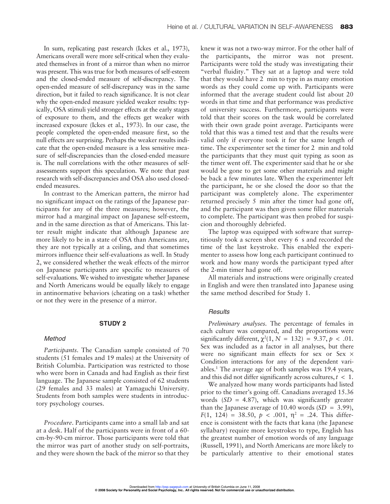In sum, replicating past research (Ickes et al., 1973), Americans overall were more self-critical when they evaluated themselves in front of a mirror than when no mirror was present. This was true for both measures of self-esteem and the closed-ended measure of self-discrepancy. The open-ended measure of self-discrepancy was in the same direction, but it failed to reach significance. It is not clear why the open-ended measure yielded weaker results: typically, OSA stimuli yield stronger effects at the early stages of exposure to them, and the effects get weaker with increased exposure (Ickes et al., 1973). In our case, the people completed the open-ended measure first, so the null effects are surprising. Perhaps the weaker results indicate that the open-ended measure is a less sensitive measure of self-discrepancies than the closed-ended measure is. The null correlations with the other measures of selfassessments support this speculation. We note that past research with self-discrepancies and OSA also used closedended measures.

In contrast to the American pattern, the mirror had no significant impact on the ratings of the Japanese participants for any of the three measures; however, the mirror had a marginal impact on Japanese self-esteem, and in the same direction as that of Americans. This latter result might indicate that although Japanese are more likely to be in a state of OSA than Americans are, they are not typically at a ceiling, and that sometimes mirrors influence their self-evaluations as well. In Study 2, we considered whether the weak effects of the mirror on Japanese participants are specific to measures of self-evaluations. We wished to investigate whether Japanese and North Americans would be equally likely to engage in antinormative behaviors (cheating on a task) whether or not they were in the presence of a mirror.

#### **STUDY 2**

#### Method

*Participants.* The Canadian sample consisted of 70 students (51 females and 19 males) at the University of British Columbia. Participation was restricted to those who were born in Canada and had English as their first language. The Japanese sample consisted of 62 students (29 females and 33 males) at Yamaguchi University. Students from both samples were students in introductory psychology courses.

*Procedure*. Participants came into a small lab and sat at a desk. Half of the participants were in front of a 60 cm-by-90-cm mirror. Those participants were told that the mirror was part of another study on self-portraits, and they were shown the back of the mirror so that they

knew it was not a two-way mirror. For the other half of the participants, the mirror was not present. Participants were told the study was investigating their "verbal fluidity." They sat at a laptop and were told that they would have 2 min to type in as many emotion words as they could come up with. Participants were informed that the average student could list about 20 words in that time and that performance was predictive of university success. Furthermore, participants were told that their scores on the task would be correlated with their own grade point average. Participants were told that this was a timed test and that the results were valid only if everyone took it for the same length of time. The experimenter set the timer for 2 min and told the participants that they must quit typing as soon as the timer went off. The experimenter said that he or she would be gone to get some other materials and might be back a few minutes late. When the experimenter left the participant, he or she closed the door so that the participant was completely alone. The experimenter returned precisely 5 min after the timer had gone off, and the participant was then given some filler materials to complete. The participant was then probed for suspicion and thoroughly debriefed.

The laptop was equipped with software that surreptitiously took a screen shot every 6 s and recorded the time of the last keystroke. This enabled the experimenter to assess how long each participant continued to work and how many words the participant typed after the 2-min timer had gone off.

All materials and instructions were originally created in English and were then translated into Japanese using the same method described for Study 1.

#### **Results**

*Preliminary analyses*. The percentage of females in each culture was compared, and the proportions were significantly different,  $\chi^2(1, N = 132) = 9.37, p < .01$ . Sex was included as a factor in all analyses, but there were no significant main effects for sex or Sex × Condition interactions for any of the dependent variables.1 The average age of both samples was 19.4 years, and this did not differ significantly across cultures,  $t < 1$ .

We analyzed how many words participants had listed prior to the timer's going off. Canadians averaged 15.36 words (*SD* = 4.87), which was significantly greater than the Japanese average of 10.40 words  $(SD = 3.99)$ , *F*(1, 124) = 38.50,  $p < .001$ ,  $\eta^2$  = .24. This difference is consistent with the facts that kana (the Japanese syllabary) require more keystrokes to type, English has the greatest number of emotion words of any language (Russell, 1991), and North Americans are more likely to be particularly attentive to their emotional states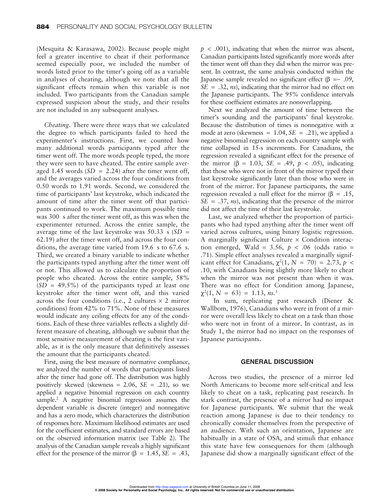(Mesquita & Karasawa, 2002). Because people might feel a greater incentive to cheat if their performance seemed especially poor, we included the number of words listed prior to the timer's going off as a variable in analyses of cheating, although we note that all the significant effects remain when this variable is not included. Two participants from the Canadian sample expressed suspicion about the study, and their results are not included in any subsequent analyses.

*Cheating*. There were three ways that we calculated the degree to which participants failed to heed the experimenter's instructions. First, we counted how many additional words participants typed after the timer went off. The more words people typed, the more they were seen to have cheated. The entire sample averaged 1.45 words  $(SD = 2.24)$  after the timer went off, and the averages varied across the four conditions from 0.50 words to 1.91 words. Second, we considered the time of participants' last keystroke, which indicated the amount of time after the timer went off that participants continued to work. The maximum possible time was 300 s after the timer went off, as this was when the experimenter returned. Across the entire sample, the average time of the last keystroke was 50.33 s (*SD* = 62.19) after the timer went off, and across the four conditions, the average time varied from 19.6 s to 67.6 s. Third, we created a binary variable to indicate whether the participants typed anything after the timer went off or not. This allowed us to calculate the proportion of people who cheated. Across the entire sample, 58% (*SD* = 49.5%) of the participants typed at least one keystroke after the timer went off, and this varied across the four conditions (i.e., 2 cultures  $\times$  2 mirror conditions) from 42% to 71%. None of these measures would indicate any ceiling effects for any of the conditions. Each of these three variables reflects a slightly different measure of cheating, although we submit that the most sensitive measurement of cheating is the first variable, as it is the only measure that definitively assesses the amount that the participants cheated.

First, using the best measure of normative compliance, we analyzed the number of words that participants listed after the timer had gone off. The distribution was highly positively skewed (skewness =  $2.06$ ,  $SE = .21$ ), so we applied a negative binomial regression on each country sample.<sup>2</sup> A negative binomial regression assumes the dependent variable is discrete (integer) and nonnegative and has a zero mode, which characterizes the distribution of responses here. Maximum likelihood estimates are used for the coefficient estimates, and standard errors are based on the observed information matrix (see Table 2). The analysis of the Canadian sample reveals a highly significant effect for the presence of the mirror  $(\beta = 1.45, SE = .43,$   $p < .001$ ), indicating that when the mirror was absent, Canadian participants listed significantly more words after the timer went off than they did when the mirror was present. In contrast, the same analysis conducted within the Japanese sample revealed no significant effect  $(\beta = 0.09,$ *SE* = .32, *ns*), indicating that the mirror had no effect on the Japanese participants. The 95% confidence intervals for these coefficient estimates are nonoverlapping.

Next we analyzed the amount of time between the timer's sounding and the participants' final keystroke. Because the distribution of times is nonnegative with a mode at zero (skewness  $= 1.04$ ,  $SE = .21$ ), we applied a negative binomial regression on each country sample with time collapsed in 15-s increments. For Canadians, the regression revealed a significant effect for the presence of the mirror (β = 1.03, *SE* = .49, *p* < .05), indicating that those who were not in front of the mirror typed their last keystroke significantly later than those who were in front of the mirror. For Japanese participants, the same regression revealed a null effect for the mirror (β = .15, *SE* = .37, *ns*), indicating that the presence of the mirror did not affect the time of their last keystroke.

Last, we analyzed whether the proportion of participants who had typed anything after the timer went off varied across cultures, using binary logistic regression. A marginally significant Culture  $\times$  Condition interaction emerged, Wald =  $3.56, p < .06$  (odds ratio = .71). Simple effect analyses revealed a marginally significant effect for Canadians,  $\chi^2(1, N = 70) = 2.73, p <$ .10, with Canadians being slightly more likely to cheat when the mirror was not present than when it was. There was no effect for Condition among Japanese,  $\chi^2(1, N = 63) = 1.13, ns.^3$ 

In sum, replicating past research (Diener & Wallbom, 1976), Canadians who were in front of a mirror were overall less likely to cheat on a task than those who were not in front of a mirror. In contrast, as in Study 1, the mirror had no impact on the responses of Japanese participants.

#### **GENERAL DISCUSSION**

Across two studies, the presence of a mirror led North Americans to become more self-critical and less likely to cheat on a task, replicating past research. In stark contrast, the presence of a mirror had no impact for Japanese participants. We submit that the weak reaction among Japanese is due to their tendency to chronically consider themselves from the perspective of an audience. With such an orientation, Japanese are habitually in a state of OSA, and stimuli that enhance this state have few consequences for them (although Japanese did show a marginally significant effect of the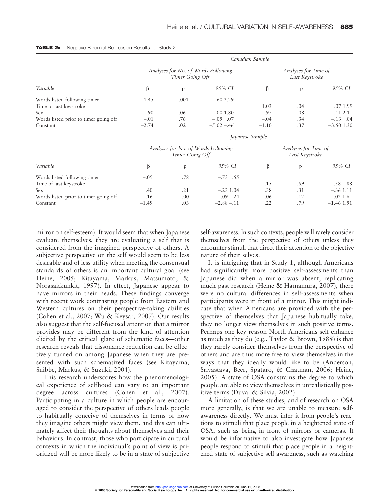|                                       | Canadian Sample                                        |              |                |                                        |     |              |  |  |  |
|---------------------------------------|--------------------------------------------------------|--------------|----------------|----------------------------------------|-----|--------------|--|--|--|
|                                       | Analyses for No. of Words Following<br>Timer Going Off |              |                | Analyses for Time of<br>Last Keystroke |     |              |  |  |  |
| Variable                              | β                                                      | $\mathbf{p}$ | 95% CI         | β                                      | p   | 95% CI       |  |  |  |
| Words listed following timer          | 1.45                                                   | .001         | .602.29        |                                        |     |              |  |  |  |
| Time of last keystroke                |                                                        |              |                | 1.03                                   | .04 | .07 1.99     |  |  |  |
| Sex                                   | .90                                                    | .06          | $-.001.80$     | .97                                    | .08 | $-.112.1$    |  |  |  |
| Words listed prior to timer going off | $-.01$                                                 | .76          | $-.09$ .07     | $-.04$                                 | .34 | $-.13$ .04   |  |  |  |
| Constant                              | $-2.74$                                                | .02          | $-5.02 - 0.46$ | $-1.10$                                | .37 | $-3.50$ 1.30 |  |  |  |
|                                       | Japanese Sample                                        |              |                |                                        |     |              |  |  |  |
|                                       | Analyses for No. of Words Following<br>Timer Going Off |              |                | Analyses for Time of<br>Last Keystroke |     |              |  |  |  |
| Variable                              | β                                                      | p            | 95% CI         | β                                      | p   | 95% CI       |  |  |  |
| Words listed following timer          | $-.09$                                                 | .78          | $-.73$ .55     |                                        |     |              |  |  |  |
| Time of last keystroke                |                                                        |              |                | .15                                    | .69 | $-.58$ .88   |  |  |  |
| Sex                                   | .40                                                    | .21          | $-.231.04$     | .38                                    | .31 | $-.36$ 1.11  |  |  |  |
| Words listed prior to timer going off | .16                                                    | .00          | .09<br>.24     | .06                                    | .12 | $-.02$ 1.6   |  |  |  |
| Constant                              | $-1.49$                                                | .03          | $-2.88 - 11$   | .22                                    | .79 | $-1.46$ 1.91 |  |  |  |

#### **TABLE 2:** Negative Binomial Regression Results for Study 2

mirror on self-esteem). It would seem that when Japanese evaluate themselves, they are evaluating a self that is considered from the imagined perspective of others. A subjective perspective on the self would seem to be less desirable and of less utility when meeting the consensual standards of others is an important cultural goal (see Heine, 2005; Kitayama, Markus, Matsumoto, & Norasakkunkit, 1997). In effect, Japanese appear to have mirrors in their heads. These findings converge with recent work contrasting people from Eastern and Western cultures on their perspective-taking abilities (Cohen et al., 2007; Wu & Keysar, 2007). Our results also suggest that the self-focused attention that a mirror provides may be different from the kind of attention elicited by the critical glare of schematic faces—other research reveals that dissonance reduction can be effectively turned on among Japanese when they are presented with such schematized faces (see Kitayama, Snibbe, Markus, & Suzuki, 2004).

This research underscores how the phenomenological experience of selfhood can vary to an important degree across cultures (Cohen et al., 2007). Participating in a culture in which people are encouraged to consider the perspective of others leads people to habitually conceive of themselves in terms of how they imagine others might view them, and this can ultimately affect their thoughts about themselves and their behaviors. In contrast, those who participate in cultural contexts in which the individual's point of view is prioritized will be more likely to be in a state of subjective

self-awareness. In such contexts, people will rarely consider themselves from the perspective of others unless they encounter stimuli that direct their attention to the objective nature of their selves.

It is intriguing that in Study 1, although Americans had significantly more positive self-assessments than Japanese did when a mirror was absent, replicating much past research (Heine & Hamamura, 2007), there were no cultural differences in self-assessments when participants were in front of a mirror. This might indicate that when Americans are provided with the perspective of themselves that Japanese habitually take, they no longer view themselves in such positive terms. Perhaps one key reason North Americans self-enhance as much as they do (e.g., Taylor & Brown, 1988) is that they rarely consider themselves from the perspective of others and are thus more free to view themselves in the ways that they ideally would like to be (Anderson, Srivastava, Beer, Spataro, & Chatman, 2006; Heine, 2005). A state of OSA constrains the degree to which people are able to view themselves in unrealistically positive terms (Duval & Silvia, 2002).

A limitation of these studies, and of research on OSA more generally, is that we are unable to measure selfawareness directly. We must infer it from people's reactions to stimuli that place people in a heightened state of OSA, such as being in front of mirrors or cameras. It would be informative to also investigate how Japanese people respond to stimuli that place people in a heightened state of subjective self-awareness, such as watching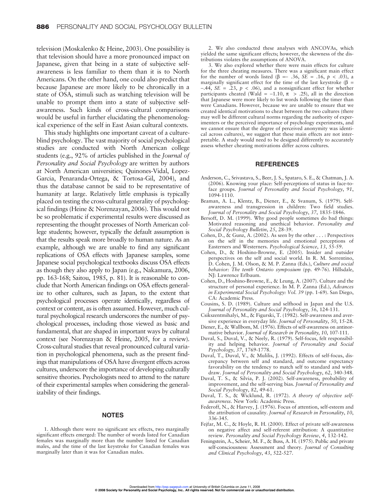television (Moskalenko & Heine, 2003). One possibility is that television should have a more pronounced impact on Japanese, given that being in a state of subjective selfawareness is less familiar to them than it is to North Americans. On the other hand, one could also predict that because Japanese are more likely to be chronically in a state of OSA, stimuli such as watching television will be unable to prompt them into a state of subjective selfawareness. Such kinds of cross-cultural comparisons would be useful in further elucidating the phenomenological experience of the self in East Asian cultural contexts.

This study highlights one important caveat of a cultureblind psychology. The vast majority of social psychological studies are conducted with North American college students (e.g., 92% of articles published in the *Journal of Personality and Social Psychology* are written by authors at North American universities; Quinones-Vidal, Lopez-Garcia, Penaranda-Ortega, & Tortosa-Gil, 2004), and thus the database cannot be said to be representative of humanity at large. Relatively little emphasis is typically placed on testing the cross-cultural generality of psychological findings (Heine & Norenzayan, 2006). This would not be so problematic if experimental results were discussed as representing the thought processes of North American college students; however, typically the default assumption is that the results speak more broadly to human nature. As an example, although we are unable to find any significant replications of OSA effects with Japanese samples, some Japanese social psychological textbooks discuss OSA effects as though they also apply to Japan (e.g., Nakamura, 2006, pp. 163-168; Saitou, 1985, p. 81). It is reasonable to conclude that North American findings on OSA effects generalize to other cultures, such as Japan, to the extent that psychological processes operate identically, regardless of context or content, as is often assumed. However, much cultural psychological research underscores the number of psychological processes, including those viewed as basic and fundamental, that are shaped in important ways by cultural context (see Norenzayan & Heine, 2005, for a review). Cross-cultural studies that reveal pronounced cultural variation in psychological phenomena, such as the present findings that manipulations of OSA have divergent effects across cultures, underscore the importance of developing culturally sensitive theories. Psychologists need to attend to the nature of their experimental samples when considering the generalizability of their findings.

#### **NOTES**

1. Although there were no significant sex effects, two marginally significant effects emerged: The number of words listed for Canadian females was marginally more than the number listed for Canadian males, and the time of the last keystroke for Canadian females was marginally later than it was for Canadian males.

2. We also conducted these analyses with ANCOVAs, which yielded the same significant effects; however, the skewness of the distributions violates the assumptions of ANOVA.

3. We also explored whether there were main effects for culture for the three cheating measures. There was a significant main effect for the number of words listed ( $\beta$  = .36, *SE* = .16,  $p < .03$ ), a marginally significant effect for the time of the last keystroke ( $\beta$  = −.44, *SE* = .23, *p* < .06), and a nonsignificant effect for whether participants cheated (Wald = -1.10,  $\pi$  > .25), all in the direction that Japanese were more likely to list words following the timer than were Canadians. However, because we are unable to ensure that we created identical motivations to cheat between the two cultures (there may well be different cultural norms regarding the authority of experimenters or the perceived importance of psychology experiments, and we cannot ensure that the degree of perceived anonymity was identical across cultures), we suggest that these main effects are not interpretable. A study would need to be designed differently to accurately assess whether cheating motivations differ across cultures.

#### **REFERENCES**

- Anderson, C., Srivastava, S., Beer, J. S., Spataro, S. E., & Chatman, J. A. (2006). Knowing your place: Self-perceptions of status in face-toface groups. *Journal of Personality and Social Psychology*, *91*, 1094-1110.
- Beaman, A. L., Klentz, B., Diener, E., & Svanum, S. (1979). Selfawareness and transgression in children: Two field studies. *Journal of Personality and Social Psychology*, *37*, 1835-1846.
- Bersoff, D. M. (1999). Why good people sometimes do bad things: Motivated reasoning and unethical behavior. *Personality and Social Psychology Bulletin*, *25*, 28-39.
- Cohen, D., & Gunz, A. (2002). As seen by the other . . . : Perspectives on the self in the memories and emotional perceptions of Easterners and Westerners. *Psychological Science*, *13*, 55-59.
- Cohen, D., & Hoshino-Browne, E. (2005). Insider and outsider perspectives on the self and social world. In R. M. Sorrentino, D. Cohen, J. M. Olson, & M. P. Zanna (Eds.), *Culture and social behavior: The tenth Ontario symposium* (pp. 49-76). Hillsdale, NJ: Lawrence Erlbaum.
- Cohen, D., Hoshino-Browne, E., & Leung, A. (2007). Culture and the structure of personal experience. In M. P. Zanna (Ed.), *Advances in Experimental Social Psychology: Vol. 39* (pp. 1-69). San Diego, CA: Academic Press.
- Cousins, S. D. (1989). Culture and selfhood in Japan and the U.S. *Journal of Personality and Social Psychology*, *56*, 124-131.
- Csikszentmihalyi, M., & Figurski, T. (1982). Self-awareness and aversive experience in everyday life. *Journal of Personality*, *50*, 15-28.
- Diener, E., & Wallbom, M. (1976). Effects of self-awareness on antinormative behavior. *Journal of Research in Personality*, *10*, 107-111.
- Duval, S., Duval, V., & Neely, R. (1979). Self-focus, felt responsibility and helping behavior. *Journal of Personality and Social Psychology*, *37*, 1769-1778.
- Duval, T., Duval, V., & Mulilis, J. (1992). Effects of self-focus, discrepancy between self and standard, and outcome expectancy favorability on the tendency to match self to standard and withdraw. *Journal of Personality and Social Psychology*, *62*, 340-348.
- Duval, T. S., & Silvia, P. J. (2002). Self-awareness, probability of improvement, and the self-serving bias. *Journal of Personality and Social Psychology*, *82*, 49-61.
- Duval, T. S., & Wicklund, R. (1972). *A theory of objective selfawareness.* New York: Academic Press.
- Federoff, N., & Harvey, J. (1976). Focus of attention, self-esteem and the attribution of causality. *Journal of Research in Personality*, *10*, 336-345.
- Fejfar, M. C., & Hoyle, R. H. (2000). Effect of private self-awareness on negative affect and self-referent attribution: A quantitative review. *Personality and Social Psychology Review*, *4*, 132-142.
- Feningstein, A., Scheier, M. F., & Buss, A. H. (1975). Public and private self-consciousness: Assessment and theory. *Journal of Consulting and Clinical Psychology*, *43*, 522-527.